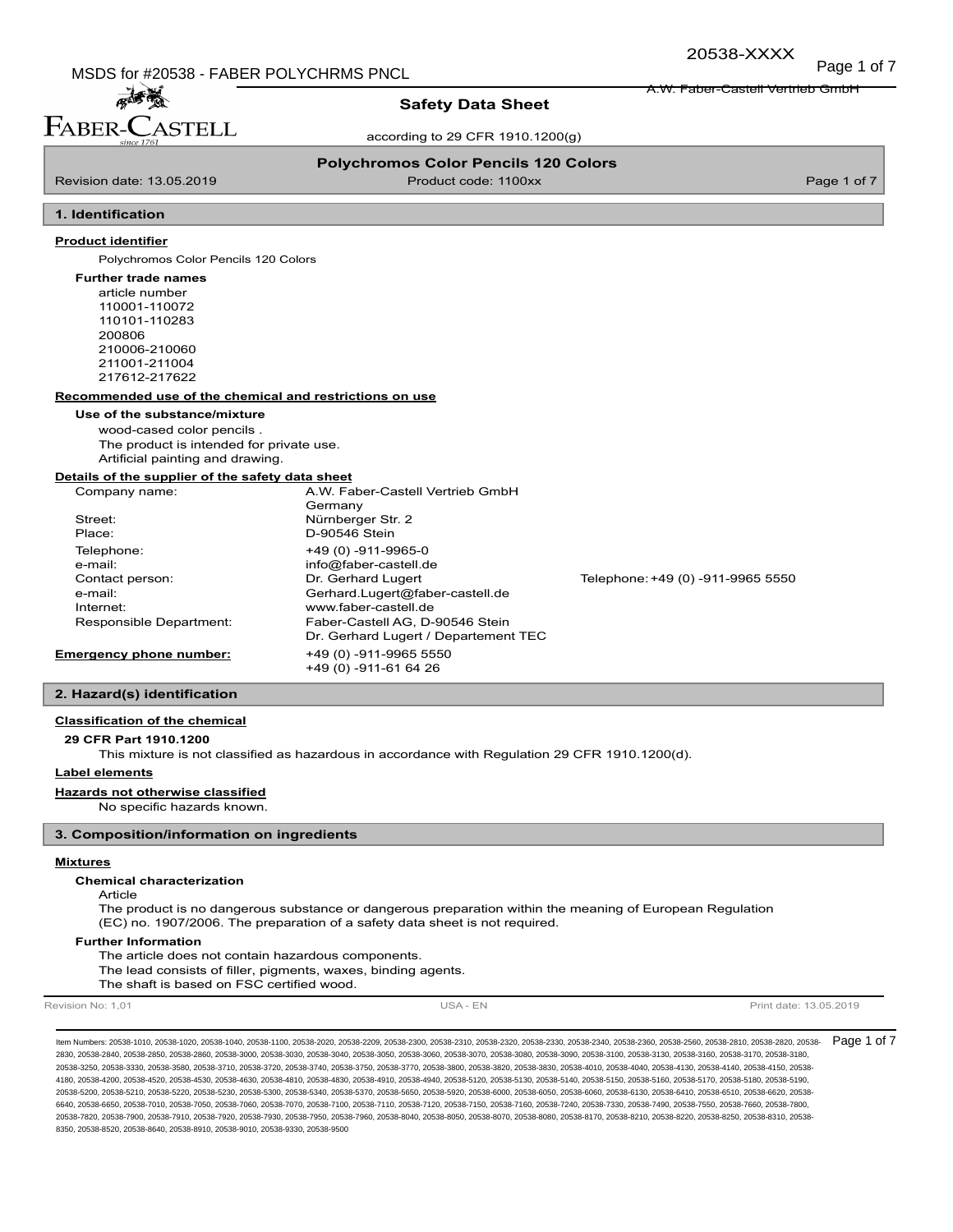A.W. Faber-Castell Vertrieb GmbH

20538-XXXX

# 孟秀 FABER-C **STELL**

# **Safety Data Sheet**

according to 29 CFR 1910.1200(g)

## **Polychromos Color Pencils 120 Colors**

Revision date: 13.05.2019 **Product code: 1100xx** Product code: 1100xx Page 1 of 7

# **1. Identification**

## **Product identifier**

Polychromos Color Pencils 120 Colors

#### **Further trade names**

article number 110001-110072 110101-110283 200806 210006-210060 211001-211004 217612-217622

#### **Recommended use of the chemical and restrictions on use**

#### **Use of the substance/mixture**

wood-cased color pencils . The product is intended for private use. Artificial painting and drawing.

### **Details of the supplier of the safety data sheet**

| Company name:           | A.W. Faber-Castell Vertrieb GmbH     |                                   |
|-------------------------|--------------------------------------|-----------------------------------|
|                         | Germany                              |                                   |
| Street:                 | Nürnberger Str. 2                    |                                   |
| Place:                  | D-90546 Stein                        |                                   |
| Telephone:              | +49 (0) -911-9965-0                  |                                   |
| e-mail:                 | info@faber-castell.de                |                                   |
| Contact person:         | Dr. Gerhard Lugert                   | Telephone: +49 (0) -911-9965 5550 |
| e-mail:                 | Gerhard.Lugert@faber-castell.de      |                                   |
| Internet:               | www.faber-castell.de                 |                                   |
| Responsible Department: | Faber-Castell AG, D-90546 Stein      |                                   |
|                         | Dr. Gerhard Lugert / Departement TEC |                                   |
| Emergency phone number: | +49 (0) -911-9965 5550               |                                   |
|                         | +49 (0) -911-61 64 26                |                                   |

## **2. Hazard(s) identification**

## **Classification of the chemical**

#### **29 CFR Part 1910.1200**

This mixture is not classified as hazardous in accordance with Regulation 29 CFR 1910.1200(d).

#### **Label elements**

**Hazards not otherwise classified**

No specific hazards known.

## **3. Composition/information on ingredients**

#### **Mixtures**

#### **Chemical characterization**

Article

The product is no dangerous substance or dangerous preparation within the meaning of European Regulation (EC) no. 1907/2006. The preparation of a safety data sheet is not required.

#### **Further Information**

The article does not contain hazardous components. The lead consists of filler, pigments, waxes, binding agents. The shaft is based on FSC certified wood.

Revision No: 1,01 **Print date: 13.05.2019** USA - EN USA - EN Print date: 13.05.2019

ltem Numbers: 20538-1010, 20538-1020, 20538-1040, 20538-1100, 20538-2020, 20538-2209, 20538-2300, 20538-2320, 20538-2330, 20538-2380, 20538-2350, 20538-2560, 20538-2560, 20538-2580, 20538-2810, 20538-2820, 20538-2360, 2053 2830, 20538-2840, 20538-2850, 20538-2860, 20538-3000, 20538-3030, 20538-3040, 20538-3050, 20538-3060, 20538-3070, 20538-3080, 20538-3090, 20538-3100, 20538-3130, 20538-3160, 20538-3170, 20538-3180, 20538-3250, 20538-3330, 20538-3580, 20538-3710, 20538-3720, 20538-3740, 20538-3750, 20538-3770, 20538-3800, 20538-3820, 20538-3830, 20538-4010, 20538-4040, 20538-4130, 20538-4140, 20538-4150, 20538- 4180, 20538-4200, 20538-4520, 20538-4530, 20538-4630, 20538-4810, 20538-4830, 20538-4910, 20538-4940, 20538-5120, 20538-5130, 20538-5140, 20538-5150, 20538-5160, 20538-5170, 20538-5180, 20538-5190, 20538-5200, 20538-5210, 20538-5220, 20538-5230, 20538-5300, 20538-5340, 20538-5370, 20538-5650, 20538-5920, 20538-6000, 20538-6050, 20538-6060, 20538-6130, 20538-6410, 20538-6150, 20538-6410, 20538-6410, 20538-6620, 20538-6 6640, 20538-6650, 20538-7010, 20538-7050, 20538-7060, 20538-7070, 20538-7110, 20538-7120, 20538-7150, 20538-7160, 20538-7400, 20538-7330, 20538-7490, 20538-7550, 20538-7660, 20538-760, 20538-760, 20538-7660, 20538-7660, 205 20538-7820, 20538-7900, 20538-7910, 20538-7920, 20538-7930, 20538-7950, 20538-7960, 20538-8040, 20538-8050, 20538-8070, 20538-8080, 20538-8170, 20538-8210, 20538-8220, 20538-8250, 20538-8310, 20538- 8350, 20538-8520, 20538-8640, 20538-8910, 20538-9010, 20538-9330, 20538-9500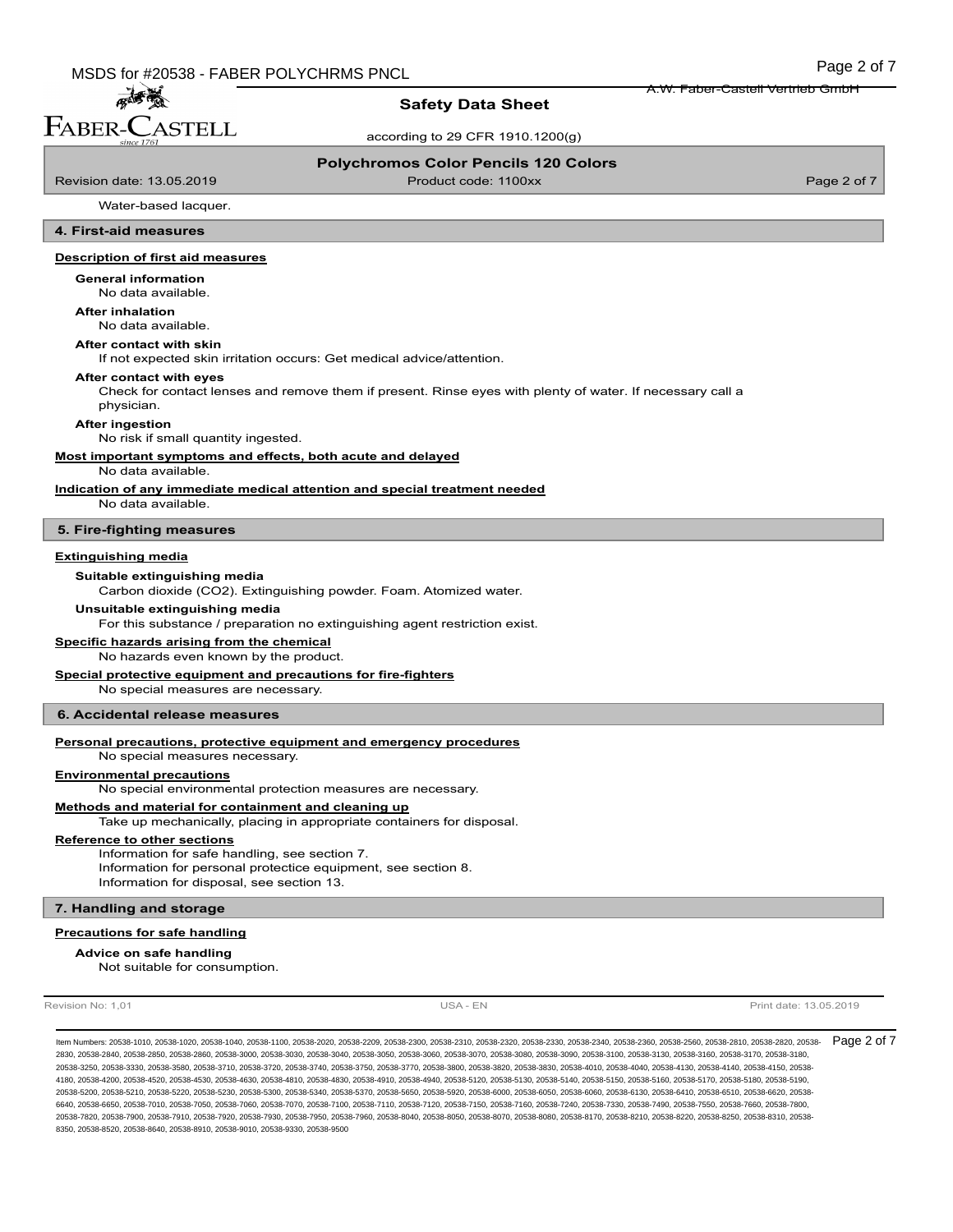**Safety Data Sheet**

according to 29 CFR 1910.1200(g)

#### **Polychromos Color Pencils 120 Colors**

Revision date: 13.05.2019 **Product code: 1100xx** Product code: 1100xx Page 2 of 7

孟秀 FABER-CASTELL

A.W. Faber-Castell Vertrieb GmbH

Water-based lacquer.

## **4. First-aid measures**

#### **Description of first aid measures**

#### **General information**

No data available.

**After inhalation**

No data available.

## **After contact with skin**

If not expected skin irritation occurs: Get medical advice/attention.

#### **After contact with eyes**

Check for contact lenses and remove them if present. Rinse eyes with plenty of water. If necessary call a physician.

#### **After ingestion**

No risk if small quantity ingested.

**Most important symptoms and effects, both acute and delayed**

## No data available.

**Indication of any immediate medical attention and special treatment needed**

No data available.

## **5. Fire-fighting measures**

## **Extinguishing media**

#### **Suitable extinguishing media**

Carbon dioxide (CO2). Extinguishing powder. Foam. Atomized water.

#### **Unsuitable extinguishing media**

For this substance / preparation no extinguishing agent restriction exist.

## **Specific hazards arising from the chemical**

No hazards even known by the product.

#### **Special protective equipment and precautions for fire-fighters**

No special measures are necessary.

#### **6. Accidental release measures**

#### **Personal precautions, protective equipment and emergency procedures**

No special measures necessary.

## **Environmental precautions**

No special environmental protection measures are necessary.

#### **Methods and material for containment and cleaning up**

Take up mechanically, placing in appropriate containers for disposal.

### **Reference to other sections**

Information for safe handling, see section 7. Information for personal protectice equipment, see section 8. Information for disposal, see section 13.

#### **7. Handling and storage**

## **Precautions for safe handling**

Not suitable for consumption. **Advice on safe handling**

Revision No: 1,01 **Print date: 13.05.2019** USA - EN USA - EN Print date: 13.05.2019

ltem Numbers: 20538-1010, 20538-1020, 20538-1040, 20538-1100, 20538-2020, 20538-2209, 20538-2300, 20538-2320, 20538-2330, 20538-2380, 20538-2550, 20538-2560, 20538-2580, 20538-2580, 20538-2810, 20538-2820, 20538-2360, 2053 2830, 20538-2840, 20538-2850, 20538-2860, 20538-3000, 20538-3030, 20538-3040, 20538-3050, 20538-3060, 20538-3070, 20538-3080, 20538-3090, 20538-3100, 20538-3130, 20538-3160, 20538-3170, 20538-3180, 20538-3250, 20538-3330, 20538-3580, 20538-3710, 20538-3720, 20538-3740, 20538-3750, 20538-3770, 20538-3800, 20538-3820, 20538-3830, 20538-4010, 20538-4040, 20538-4130, 20538-4140, 20538-4150, 20538- 4180, 20538-4200, 20538-4520, 20538-4530, 20538-4630, 20538-4810, 20538-4830, 20538-4910, 20538-4940, 20538-5120, 20538-5130, 20538-5140, 20538-5150, 20538-5160, 20538-5170, 20538-5180, 20538-5190, 20538-5200, 20538-5210, 20538-5220, 20538-5230, 20538-5300, 20538-5340, 20538-5370, 20538-5650, 20538-5920, 20538-6000, 20538-6050, 20538-6060, 20538-6130, 20538-6410, 20538-6510, 20538-6620, 20538- 6640, 20538-6650, 20538-7010, 20538-7050, 20538-7060, 20538-7070, 20538-7110, 20538-7120, 20538-7150, 20538-7160, 20538-7400, 20538-7330, 20538-7490, 20538-7550, 20538-7660, 20538-760, 20538-760, 20538-7660, 20538-7660, 205 20538-7820, 20538-7900, 20538-7910, 20538-7920, 20538-7930, 20538-7950, 20538-7960, 20538-8040, 20538-8050, 20538-8070, 20538-8080, 20538-8170, 20538-8210, 20538-8220, 20538-8250, 20538-8310, 20538- 8350, 20538-8520, 20538-8640, 20538-8910, 20538-9010, 20538-9330, 20538-9500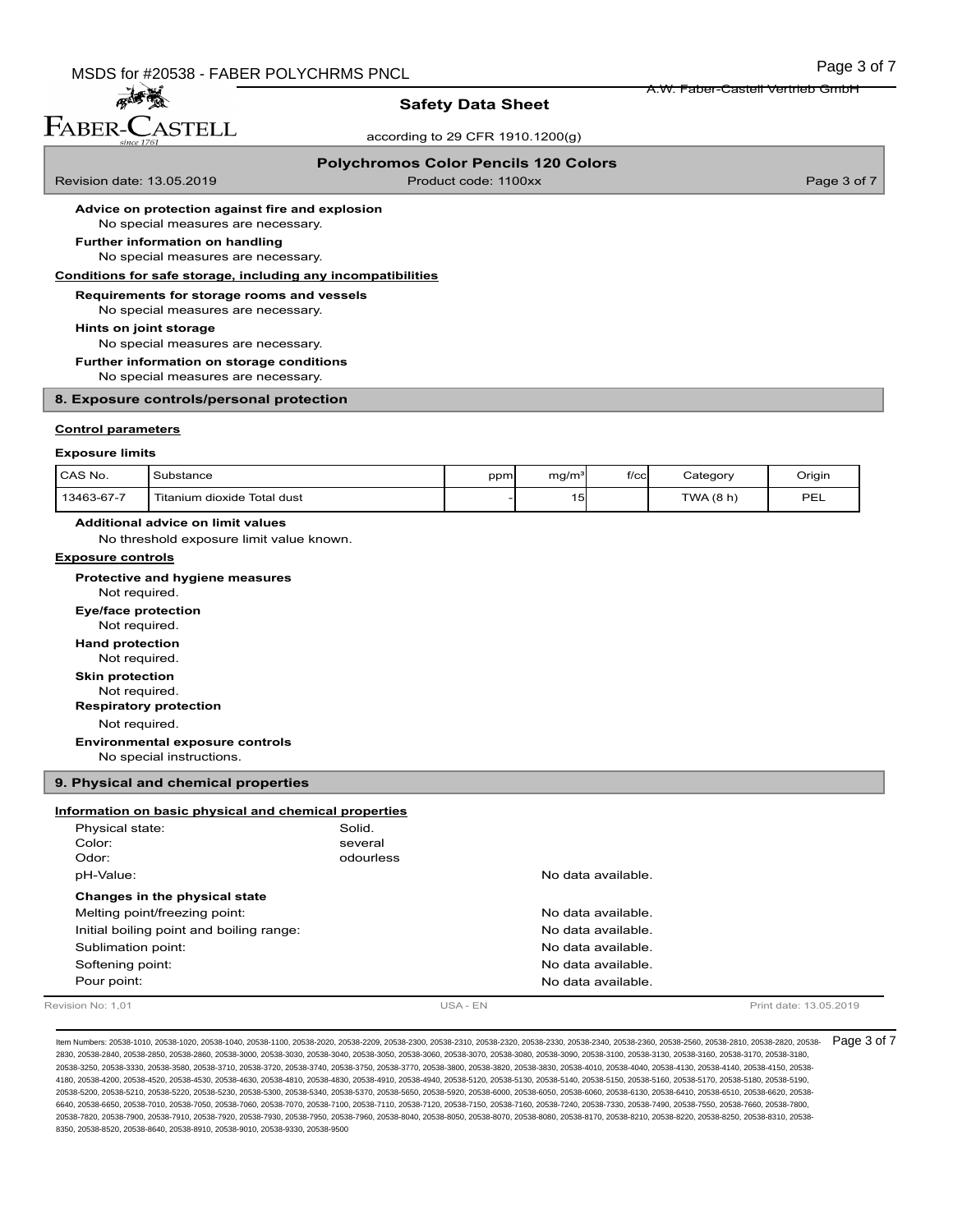## **Safety Data Sheet**

according to 29 CFR 1910.1200(g)

## **Polychromos Color Pencils 120 Colors**

Revision date: 13.05.2019 **Product code: 1100xx** Product code: 1100xx Page 3 of 7

孟子 FABER-CASTELL

A.W. Faber-Castell Vertrieb GmbH

**Advice on protection against fire and explosion**

### No special measures are necessary. **Further information on handling**

No special measures are necessary.

#### **Conditions for safe storage, including any incompatibilities**

**Requirements for storage rooms and vessels**

No special measures are necessary.

**Hints on joint storage**

No special measures are necessary.

**Further information on storage conditions**

No special measures are necessary.

#### **8. Exposure controls/personal protection**

#### **Control parameters**

#### **Exposure limits**

| CAS No.    | Substance                     | ppm | ma/m <sup>3</sup> | f/cc | Category | Oriair         |
|------------|-------------------------------|-----|-------------------|------|----------|----------------|
| 13463-67-7 | I Titanium dioxide Total dust |     | -<br>$\sim$       |      | TWA(8 h) | DE<br><u>_</u> |

## **Additional advice on limit values**

No threshold exposure limit value known.

#### **Exposure controls**

Not required. **Protective and hygiene measures** Not required. **Eye/face protection** Not required. **Hand protection** Not required. **Skin protection**

**Respiratory protection**

Not required.

**Environmental exposure controls**

No special instructions.

### **9. Physical and chemical properties**

## **Information on basic physical and chemical properties**

| Revision No: 1.01                        |           | USA - EN |                    | Print date: 13.05.2019 |
|------------------------------------------|-----------|----------|--------------------|------------------------|
| Pour point:                              |           |          | No data available. |                        |
| Softening point:                         |           |          | No data available. |                        |
| Sublimation point:                       |           |          | No data available. |                        |
| Initial boiling point and boiling range: |           |          | No data available. |                        |
| Melting point/freezing point:            |           |          | No data available. |                        |
| Changes in the physical state            |           |          |                    |                        |
| pH-Value:                                |           |          | No data available. |                        |
| Odor:                                    | odourless |          |                    |                        |
| Color:                                   | several   |          |                    |                        |
| Physical state:                          | Solid.    |          |                    |                        |

ltem Numbers: 20538-1010, 20538-1020, 20538-1040, 20538-1100, 20538-2020, 20538-2209, 20538-2300, 20538-2320, 20538-2330, 20538-2380, 20538-2550, 20538-2560, 20538-2580, 20538-2580, 20538-2810, 20538-2820, 20538-2360, 2053 2830, 20538-2840, 20538-2850, 20538-2860, 20538-3000, 20538-3030, 20538-3040, 20538-3050, 20538-3060, 20538-3070, 20538-3080, 20538-3090, 20538-3100, 20538-3130, 20538-3160, 20538-3170, 20538-3180, 20538-3250, 20538-3330, 20538-3580, 20538-3710, 20538-3720, 20538-3740, 20538-3750, 20538-3770, 20538-3800, 20538-3820, 20538-3830, 20538-4010, 20538-4040, 20538-4130, 20538-4140, 20538-4150, 20538- 4180, 20538-4200, 20538-4520, 20538-4530, 20538-4630, 20538-4810, 20538-4830, 20538-4910, 20538-4940, 20538-5120, 20538-5130, 20538-5140, 20538-5150, 20538-5160, 20538-5170, 20538-5180, 20538-5190, 20538-5200, 20538-5210, 20538-5220, 20538-5230, 20538-5300, 20538-5340, 20538-5370, 20538-5650, 20538-5920, 20538-6000, 20538-6050, 20538-6060, 20538-6130, 20538-6410, 20538-6510, 20538-6620, 20538- 6640, 20538-6650, 20538-7010, 20538-7050, 20538-7060, 20538-7070, 20538-7110, 20538-7120, 20538-7150, 20538-7160, 20538-7400, 20538-7330, 20538-7490, 20538-7550, 20538-7660, 20538-760, 20538-760, 20538-7660, 20538-7660, 205 20538-7820, 20538-7900, 20538-7910, 20538-7920, 20538-7930, 20538-7950, 20538-7960, 20538-8040, 20538-8050, 20538-8070, 20538-8080, 20538-8170, 20538-8210, 20538-8220, 20538-8250, 20538-8310, 20538- 8350, 20538-8520, 20538-8640, 20538-8910, 20538-9010, 20538-9330, 20538-9500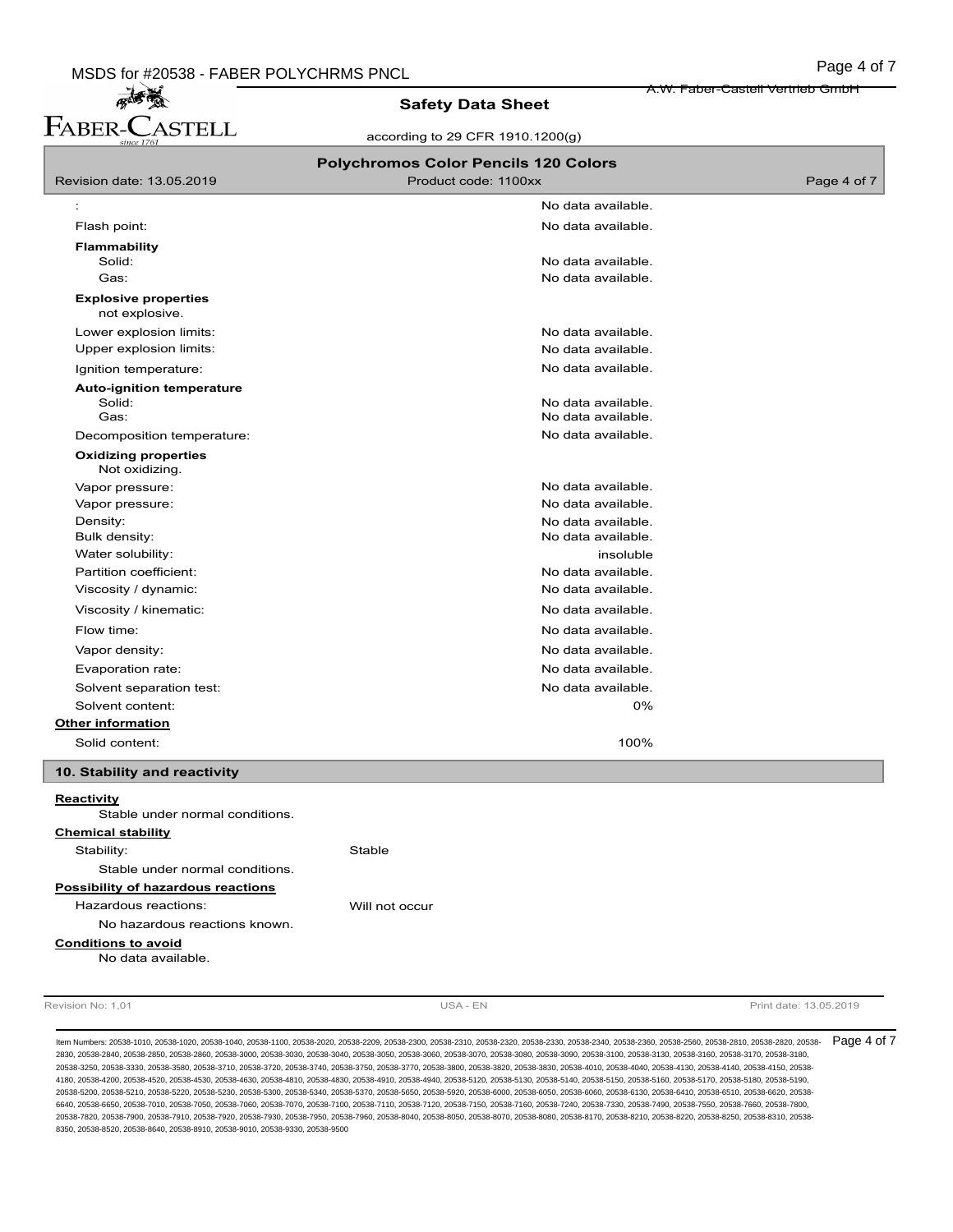A.W. Faber-Castell Vertrieb GmbH

# 麻香葱 FABER-CASTELL

# **Safety Data Sheet**

according to 29 CFR 1910.1200(g)

|                                                  | <b>Polychromos Color Pencils 120 Colors</b> |             |
|--------------------------------------------------|---------------------------------------------|-------------|
| Revision date: 13.05.2019                        | Product code: 1100xx                        | Page 4 of 7 |
|                                                  | No data available.                          |             |
| Flash point:                                     | No data available.                          |             |
| <b>Flammability</b>                              |                                             |             |
| Solid:                                           | No data available.                          |             |
| Gas:                                             | No data available.                          |             |
| <b>Explosive properties</b><br>not explosive.    |                                             |             |
| Lower explosion limits:                          | No data available.                          |             |
| Upper explosion limits:                          | No data available.                          |             |
| Ignition temperature:                            | No data available.                          |             |
| <b>Auto-ignition temperature</b>                 |                                             |             |
| Solid:<br>Gas:                                   | No data available.<br>No data available.    |             |
| Decomposition temperature:                       | No data available.                          |             |
| <b>Oxidizing properties</b>                      |                                             |             |
| Not oxidizing.                                   |                                             |             |
| Vapor pressure:                                  | No data available.                          |             |
| Vapor pressure:                                  | No data available.                          |             |
| Density:                                         | No data available.                          |             |
| Bulk density:                                    | No data available.                          |             |
| Water solubility:                                | insoluble                                   |             |
| Partition coefficient:                           | No data available.<br>No data available.    |             |
| Viscosity / dynamic:                             |                                             |             |
| Viscosity / kinematic:                           | No data available.                          |             |
| Flow time:                                       | No data available.                          |             |
| Vapor density:                                   | No data available.                          |             |
| Evaporation rate:                                | No data available.                          |             |
| Solvent separation test:                         | No data available.                          |             |
| Solvent content:                                 | 0%                                          |             |
| <b>Other information</b>                         |                                             |             |
| Solid content:                                   | 100%                                        |             |
| 10. Stability and reactivity                     |                                             |             |
| <b>Reactivity</b>                                |                                             |             |
| Stable under normal conditions.                  |                                             |             |
| <b>Chemical stability</b><br>Stability:          |                                             |             |
| Stable under normal conditions.                  | Stable                                      |             |
| Possibility of hazardous reactions               |                                             |             |
| Hazardous reactions:                             | Will not occur                              |             |
| No hazardous reactions known.                    |                                             |             |
|                                                  |                                             |             |
| <b>Conditions to avoid</b><br>No data available. |                                             |             |
|                                                  |                                             |             |

Revision No: 1,01 **Print date: 13.05.2019 USA - EN Print date: 13.05.2019** 

ltem Numbers: 20538-1010, 20538-1020, 20538-1040, 20538-1100, 20538-2020, 20538-2209, 20538-2300, 20538-2320, 20538-2330, 20538-2380, 20538-2350, 20538-2560, 20538-2560, 20538-2580, 20538-2810, 20538-2820, 20538-2360, 2053 2830, 20538-2840, 20538-2850, 20538-2860, 20538-3000, 20538-3030, 20538-3040, 20538-3050, 20538-3060, 20538-3070, 20538-3080, 20538-3090, 20538-3100, 20538-3130, 20538-3160, 20538-3170, 20538-3180, 20538-3250, 20538-3330, 20538-3580, 20538-3710, 20538-3720, 20538-3740, 20538-3750, 20538-3770, 20538-3800, 20538-3820, 20538-3830, 20538-4010, 20538-4040, 20538-4130, 20538-4140, 20538-4150, 20538- 4180, 20538-4200, 20538-4520, 20538-4530, 20538-4630, 20538-4810, 20538-4830, 20538-4910, 20538-4940, 20538-5120, 20538-5130, 20538-5140, 20538-5150, 20538-5160, 20538-5170, 20538-5180, 20538-5190, 20538-5200, 20538-5210, 20538-5220, 20538-5230, 20538-5300, 20538-5340, 20538-5370, 20538-5650, 20538-5920, 20538-6000, 20538-6050, 20538-6060, 20538-6130, 20538-6410, 20538-6510, 20538-6620, 20538- 6640, 20538-6650, 20538-7010, 20538-7050, 20538-7060, 20538-700, 20538-7110, 20538-7120, 20538-7150, 20538-7150, 20538-7400, 20538-7330, 20538-7490, 20538-7550, 20538-7660, 20538-760, 20538-740, 20538-7490, 20538-7800, 2053 20538-7820, 20538-7900, 20538-7910, 20538-7920, 20538-7930, 20538-7950, 20538-7960, 20538-8040, 20538-8050, 20538-8070, 20538-8080, 20538-8170, 20538-8210, 20538-8220, 20538-8250, 20538-8310, 20538- 8350, 20538-8520, 20538-8640, 20538-8910, 20538-9010, 20538-9330, 20538-9500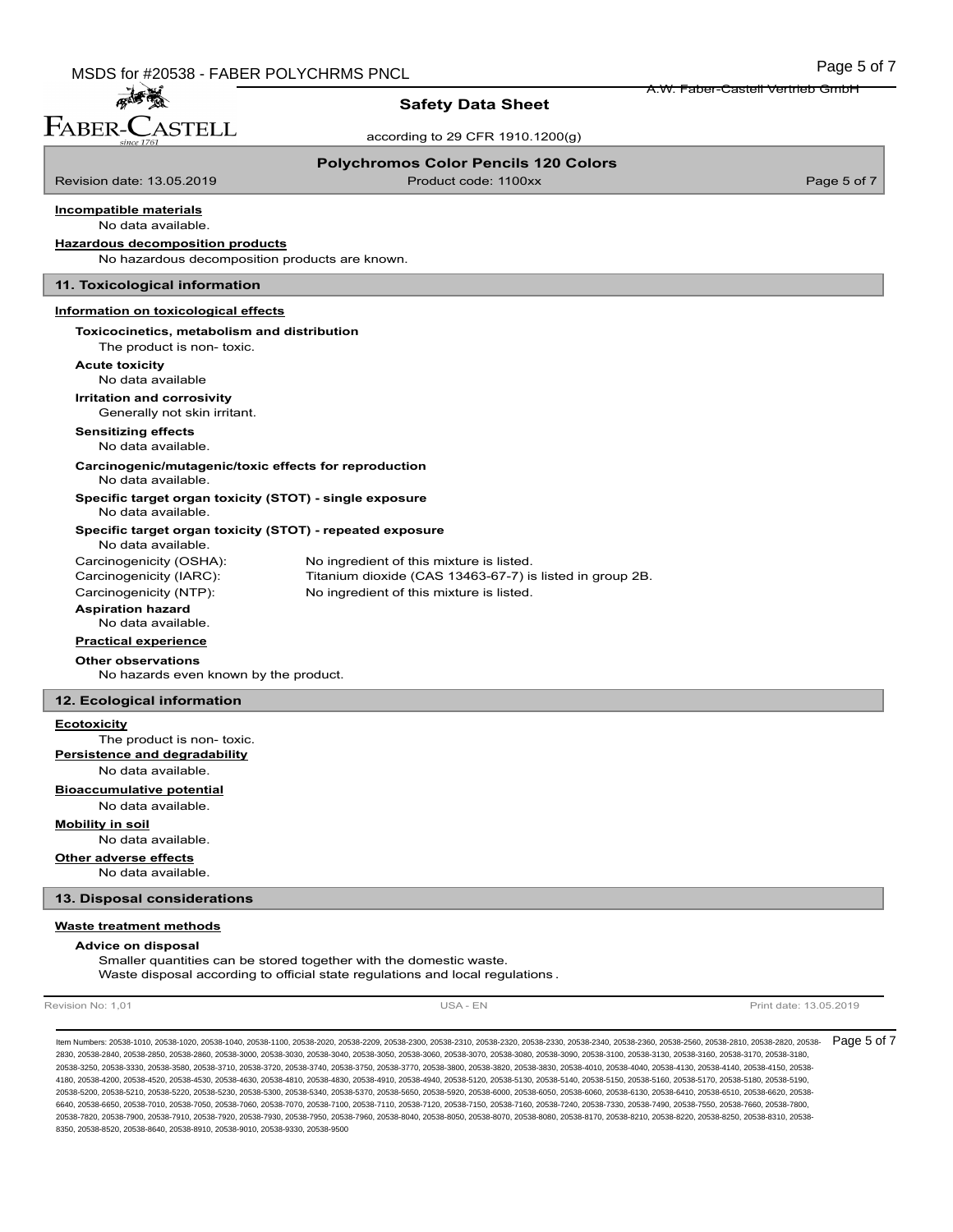孟秀 FABER-C  $\dot{}\,$ ASTELL

## **Safety Data Sheet**

according to 29 CFR 1910.1200(g)

#### **Polychromos Color Pencils 120 Colors**

Revision date: 13.05.2019 **Product code: 1100xx** Product code: 1100xx Page 5 of 7

A.W. Faber-Castell Vertrieb GmbH

#### No data available. **Incompatible materials**

## **Hazardous decomposition products**

No hazardous decomposition products are known.

#### **11. Toxicological information**

#### **Information on toxicological effects**

## **Toxicocinetics, metabolism and distribution**

The product is non- toxic.

**Acute toxicity**

### No data available **Irritation and corrosivity**

Generally not skin irritant.

# **Sensitizing effects**

No data available.

#### **Carcinogenic/mutagenic/toxic effects for reproduction** No data available.

**Specific target organ toxicity (STOT) - single exposure** No data available.

## **Specific target organ toxicity (STOT) - repeated exposure**

No data available.

| Carcinogenicity (OSHA):  | No ingredient of this mixture is listed.                 |
|--------------------------|----------------------------------------------------------|
| Carcinogenicity (IARC):  | Titanium dioxide (CAS 13463-67-7) is listed in group 2B. |
| Carcinogenicity (NTP):   | No ingredient of this mixture is listed.                 |
| <b>Aspiration hazard</b> |                                                          |

No data available.

**Practical experience**

# **Other observations**

No hazards even known by the product.

## **12. Ecological information**

#### **Ecotoxicity**

The product is non- toxic. **Persistence and degradability**

No data available.

#### **Bioaccumulative potential**

No data available.

## **Mobility in soil**

No data available.

## **Other adverse effects**

No data available.

### **13. Disposal considerations**

#### **Waste treatment methods**

#### **Advice on disposal**

Smaller quantities can be stored together with the domestic waste. Waste disposal according to official state regulations and local regulations .

Revision No: 1,01 **Print date: 13.05.2019** USA - EN USA - EN Print date: 13.05.2019

ltem Numbers: 20538-1010, 20538-1020, 20538-1040, 20538-1100, 20538-2020, 20538-2209, 20538-2300, 20538-2320, 20538-2330, 20538-2380, 20538-2350, 20538-2560, 20538-2560, 20538-2580, 20538-2810, 20538-2820, 20538-2360, 2053 2830, 20538-2840, 20538-2850, 20538-2860, 20538-3000, 20538-3030, 20538-3040, 20538-3050, 20538-3060, 20538-3070, 20538-3080, 20538-3090, 20538-3100, 20538-3130, 20538-3160, 20538-3170, 20538-3180, 20538-3250, 20538-3330, 20538-3580, 20538-3710, 20538-3720, 20538-3740, 20538-3750, 20538-3770, 20538-3800, 20538-3820, 20538-3830, 20538-4010, 20538-4040, 20538-4130, 20538-4140, 20538-4150, 20538- 4180, 20538-4200, 20538-4520, 20538-4530, 20538-4630, 20538-4810, 20538-4830, 20538-4910, 20538-4940, 20538-5120, 20538-5130, 20538-5140, 20538-5150, 20538-5160, 20538-5170, 20538-5180, 20538-5190, 20538-5200, 20538-5210, 20538-5220, 20538-5230, 20538-5300, 20538-5340, 20538-5370, 20538-5650, 20538-5920, 20538-6000, 20538-6050, 20538-6060, 20538-6130, 20538-6410, 20538-6510, 20538-6620, 20538- 6640, 20538-6650, 20538-7010, 20538-7050, 20538-7060, 20538-7070, 20538-7110, 20538-7120, 20538-7150, 20538-7160, 20538-7400, 20538-7330, 20538-7490, 20538-7550, 20538-7660, 20538-760, 20538-760, 20538-7660, 20538-7660, 205 20538-7820, 20538-7900, 20538-7910, 20538-7920, 20538-7930, 20538-7950, 20538-7960, 20538-8040, 20538-8050, 20538-8070, 20538-8080, 20538-8170, 20538-8210, 20538-8220, 20538-8250, 20538-8310, 20538- 8350, 20538-8520, 20538-8640, 20538-8910, 20538-9010, 20538-9330, 20538-9500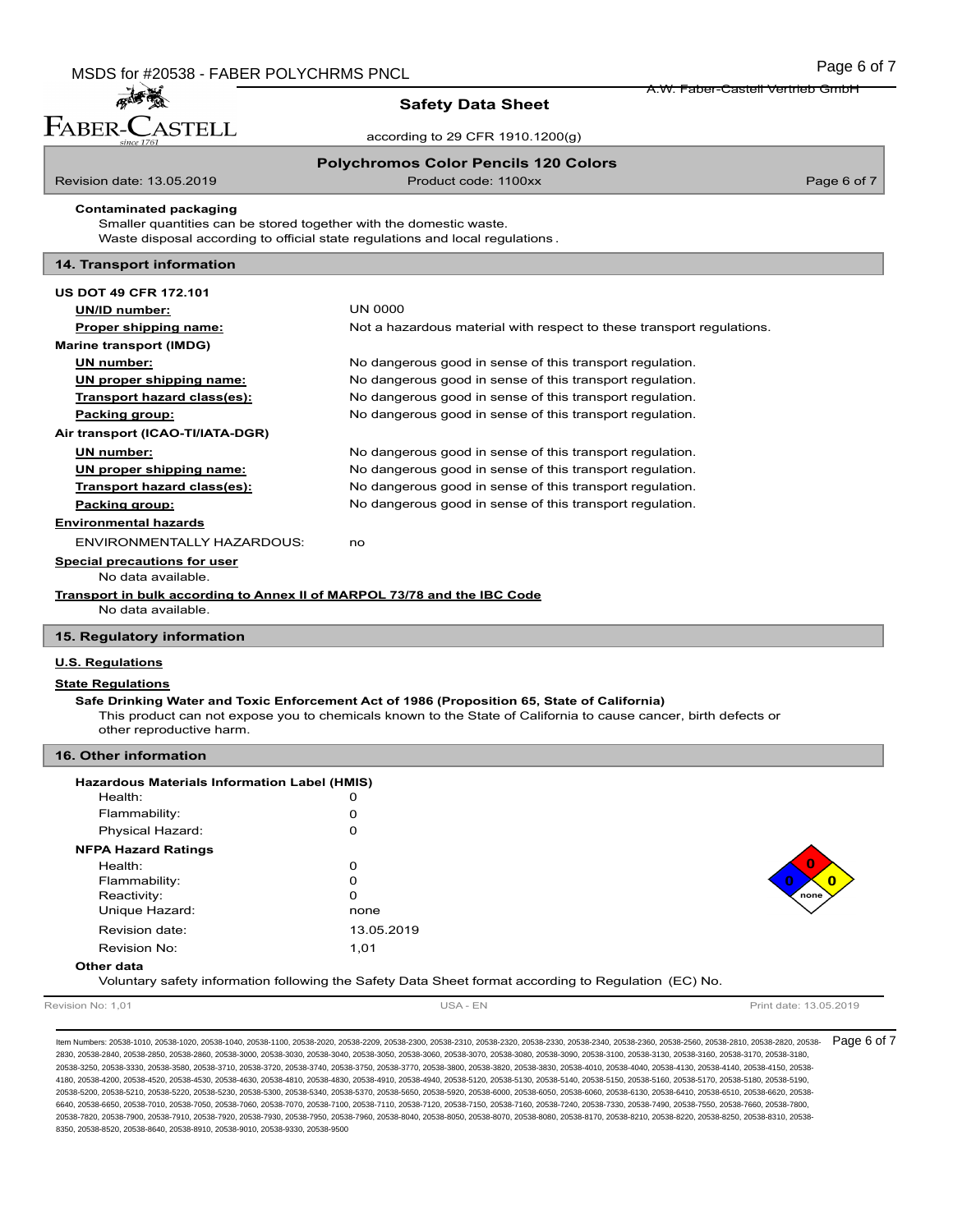**ASTELL** 

**Safety Data Sheet**

according to 29 CFR 1910.1200(g)

**Polychromos Color Pencils 120 Colors**

孟子

FABER-C

Revision date: 13.05.2019 **Product code: 1100xx** Product code: 1100xx Page 6 of 7

A.W. Faber-Castell Vertrieb GmbH

Smaller quantities can be stored together with the domestic waste. **Contaminated packaging**

Waste disposal according to official state regulations and local regulations .

## **14. Transport information**

| <b>US DOT 49 CFR 172.101</b>                                             |                                                                       |
|--------------------------------------------------------------------------|-----------------------------------------------------------------------|
| UN/ID number:                                                            | <b>UN 0000</b>                                                        |
| Proper shipping name:                                                    | Not a hazardous material with respect to these transport regulations. |
| <b>Marine transport (IMDG)</b>                                           |                                                                       |
| UN number:                                                               | No dangerous good in sense of this transport regulation.              |
| UN proper shipping name:                                                 | No dangerous good in sense of this transport regulation.              |
| Transport hazard class(es):                                              | No dangerous good in sense of this transport regulation.              |
| Packing group:                                                           | No dangerous good in sense of this transport regulation.              |
| Air transport (ICAO-TI/IATA-DGR)                                         |                                                                       |
| UN number:                                                               | No dangerous good in sense of this transport regulation.              |
| UN proper shipping name:                                                 | No dangerous good in sense of this transport regulation.              |
| Transport hazard class(es):                                              | No dangerous good in sense of this transport regulation.              |
| Packing group:                                                           | No dangerous good in sense of this transport regulation.              |
| <b>Environmental hazards</b>                                             |                                                                       |
| <b>ENVIRONMENTALLY HAZARDOUS:</b>                                        | no                                                                    |
| Special precautions for user                                             |                                                                       |
| No data available.                                                       |                                                                       |
| Transport in bulk according to Annex II of MARPOL 73/78 and the IBC Code |                                                                       |
| No data available.                                                       |                                                                       |

#### **15. Regulatory information**

#### **U.S. Regulations**

#### **State Regulations**

#### **Safe Drinking Water and Toxic Enforcement Act of 1986 (Proposition 65, State of California)**

This product can not expose you to chemicals known to the State of California to cause cancer, birth defects or other reproductive harm.

| 16. Other information                        |                                                                                                      |          |
|----------------------------------------------|------------------------------------------------------------------------------------------------------|----------|
| Hazardous Materials Information Label (HMIS) |                                                                                                      |          |
| Health:                                      | 0                                                                                                    |          |
| Flammability:                                | 0                                                                                                    |          |
| Physical Hazard:                             | 0                                                                                                    |          |
| <b>NFPA Hazard Ratings</b>                   |                                                                                                      |          |
| Health:                                      | 0                                                                                                    | $\Omega$ |
| Flammability:                                | 0                                                                                                    | O        |
| Reactivity:                                  | 0                                                                                                    | none     |
| Unique Hazard:                               | none                                                                                                 |          |
| Revision date:                               | 13.05.2019                                                                                           |          |
| Revision No:                                 | 1,01                                                                                                 |          |
| Other data                                   | Voluntary safety information following the Safety Data Sheet format according to Regulation (EC) No. |          |

Revision No: 1,01 **Print date: 13.05.2019** USA - EN USA - EN Print date: 13.05.2019

ltem Numbers: 20538-1010, 20538-1020, 20538-1040, 20538-1100, 20538-2020, 20538-2209, 20538-2300, 20538-2320, 20538-2330, 20538-2380, 20538-2350, 20538-2560, 20538-2560, 20538-2580, 20538-2810, 20538-2820, 20538-2360, 2053 2830, 20538-2840, 20538-2850, 20538-2860, 20538-3000, 20538-3030, 20538-3040, 20538-3050, 20538-3060, 20538-3070, 20538-3080, 20538-3090, 20538-3100, 20538-3130, 20538-3160, 20538-3170, 20538-3180, 20538-3250, 20538-3330, 20538-3580, 20538-3710, 20538-3720, 20538-3740, 20538-3750, 20538-3770, 20538-3800, 20538-3820, 20538-3830, 20538-4010, 20538-4040, 20538-4130, 20538-4140, 20538-4150, 20538- 4180, 20538-4200, 20538-4520, 20538-4530, 20538-4630, 20538-4810, 20538-4830, 20538-4910, 20538-4940, 20538-5120, 20538-5130, 20538-5140, 20538-5150, 20538-5160, 20538-5170, 20538-5180, 20538-5190, 20538-5200, 20538-5210, 20538-5220, 20538-5230, 20538-5300, 20538-5340, 20538-5370, 20538-5650, 20538-5920, 20538-6000, 20538-6050, 20538-6060, 20538-6130, 20538-6410, 20538-6510, 20538-6620, 20538- 6640, 20538-6650, 20538-7010, 20538-7050, 20538-7060, 20538-7070, 20538-7110, 20538-7120, 20538-7150, 20538-7160, 20538-7400, 20538-7330, 20538-7490, 20538-7550, 20538-7660, 20538-760, 20538-760, 20538-7660, 20538-7800, 20538-7820, 20538-7900, 20538-7910, 20538-7920, 20538-7930, 20538-7950, 20538-7960, 20538-8040, 20538-8050, 20538-8070, 20538-8080, 20538-8170, 20538-8210, 20538-8220, 20538-8250, 20538-8310, 20538- 8350, 20538-8520, 20538-8640, 20538-8910, 20538-9010, 20538-9330, 20538-9500